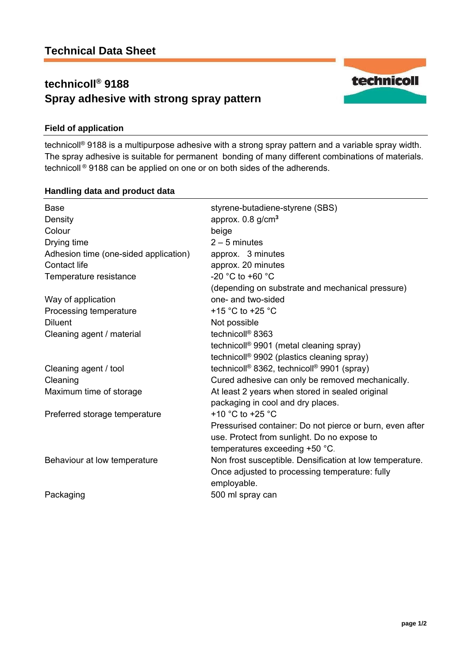# **technicoll® 9188 Spray adhesive with strong spray pattern**



## **Field of application**

technicoll® 9188 is a multipurpose adhesive with a strong spray pattern and a variable spray width. The spray adhesive is suitable for permanent bonding of many different combinations of materials. technicoll ® 9188 can be applied on one or on both sides of the adherends.

### **Handling data and product data**

| <b>Base</b><br>Density<br>Colour<br>Drying time<br>Adhesion time (one-sided application)<br>Contact life<br>Temperature resistance | styrene-butadiene-styrene (SBS)<br>approx. $0.8$ g/cm <sup>3</sup><br>beige<br>$2 - 5$ minutes<br>approx. 3 minutes<br>approx. 20 minutes<br>-20 °C to +60 °C<br>(depending on substrate and mechanical pressure) |
|------------------------------------------------------------------------------------------------------------------------------------|-------------------------------------------------------------------------------------------------------------------------------------------------------------------------------------------------------------------|
| Way of application                                                                                                                 | one- and two-sided                                                                                                                                                                                                |
| Processing temperature                                                                                                             | +15 $^{\circ}$ C to +25 $^{\circ}$ C                                                                                                                                                                              |
| <b>Diluent</b>                                                                                                                     | Not possible                                                                                                                                                                                                      |
| Cleaning agent / material                                                                                                          | technicoll <sup>®</sup> 8363                                                                                                                                                                                      |
|                                                                                                                                    | technicoll <sup>®</sup> 9901 (metal cleaning spray)                                                                                                                                                               |
|                                                                                                                                    | technicoll <sup>®</sup> 9902 (plastics cleaning spray)                                                                                                                                                            |
| Cleaning agent / tool                                                                                                              | technicoll <sup>®</sup> 8362, technicoll <sup>®</sup> 9901 (spray)                                                                                                                                                |
| Cleaning                                                                                                                           | Cured adhesive can only be removed mechanically.                                                                                                                                                                  |
| Maximum time of storage                                                                                                            | At least 2 years when stored in sealed original                                                                                                                                                                   |
|                                                                                                                                    | packaging in cool and dry places.                                                                                                                                                                                 |
| Preferred storage temperature                                                                                                      | +10 $^{\circ}$ C to +25 $^{\circ}$ C                                                                                                                                                                              |
|                                                                                                                                    | Pressurised container: Do not pierce or burn, even after<br>use. Protect from sunlight. Do no expose to                                                                                                           |
|                                                                                                                                    | temperatures exceeding +50 °C.                                                                                                                                                                                    |
| Behaviour at low temperature                                                                                                       | Non frost susceptible. Densification at low temperature.<br>Once adjusted to processing temperature: fully<br>employable.                                                                                         |
| Packaging                                                                                                                          | 500 ml spray can                                                                                                                                                                                                  |